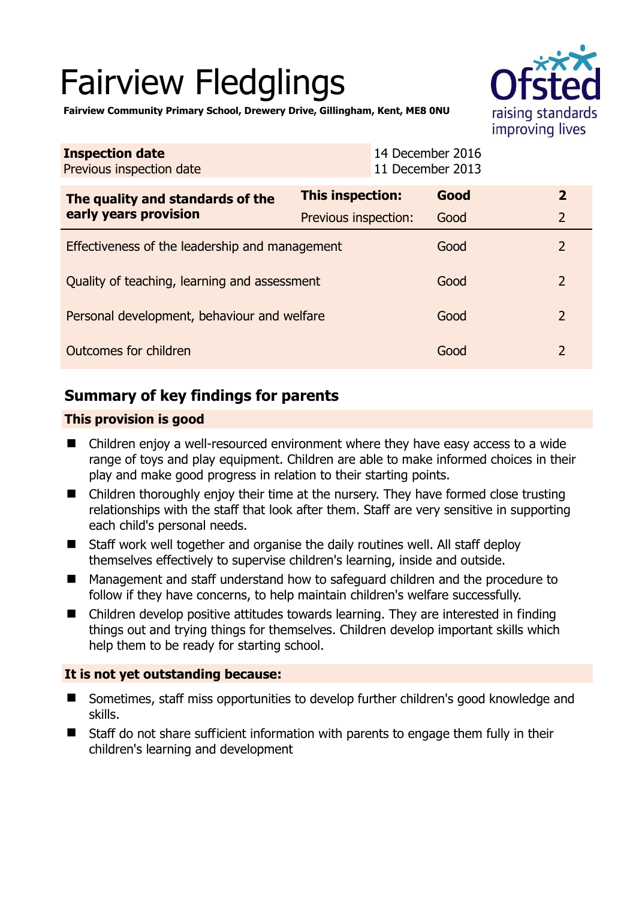# Fairview Fledglings



**Fairview Community Primary School, Drewery Drive, Gillingham, Kent, ME8 0NU** 

| <b>Inspection date</b><br>Previous inspection date        |                         | 14 December 2016<br>11 December 2013 |                |
|-----------------------------------------------------------|-------------------------|--------------------------------------|----------------|
| The quality and standards of the<br>early years provision | <b>This inspection:</b> | Good                                 | $\overline{2}$ |
|                                                           | Previous inspection:    | Good                                 | $\overline{2}$ |
| Effectiveness of the leadership and management            |                         | Good                                 | $\overline{2}$ |
| Quality of teaching, learning and assessment              |                         | Good                                 | 2              |
| Personal development, behaviour and welfare               |                         | Good                                 | 2              |
| Outcomes for children                                     |                         | Good                                 | 2              |

# **Summary of key findings for parents**

## **This provision is good**

- Children enjoy a well-resourced environment where they have easy access to a wide range of toys and play equipment. Children are able to make informed choices in their play and make good progress in relation to their starting points.
- Children thoroughly enjoy their time at the nursery. They have formed close trusting relationships with the staff that look after them. Staff are very sensitive in supporting each child's personal needs.
- Staff work well together and organise the daily routines well. All staff deploy themselves effectively to supervise children's learning, inside and outside.
- Management and staff understand how to safeguard children and the procedure to follow if they have concerns, to help maintain children's welfare successfully.
- Children develop positive attitudes towards learning. They are interested in finding things out and trying things for themselves. Children develop important skills which help them to be ready for starting school.

## **It is not yet outstanding because:**

- Sometimes, staff miss opportunities to develop further children's good knowledge and skills.
- Staff do not share sufficient information with parents to engage them fully in their children's learning and development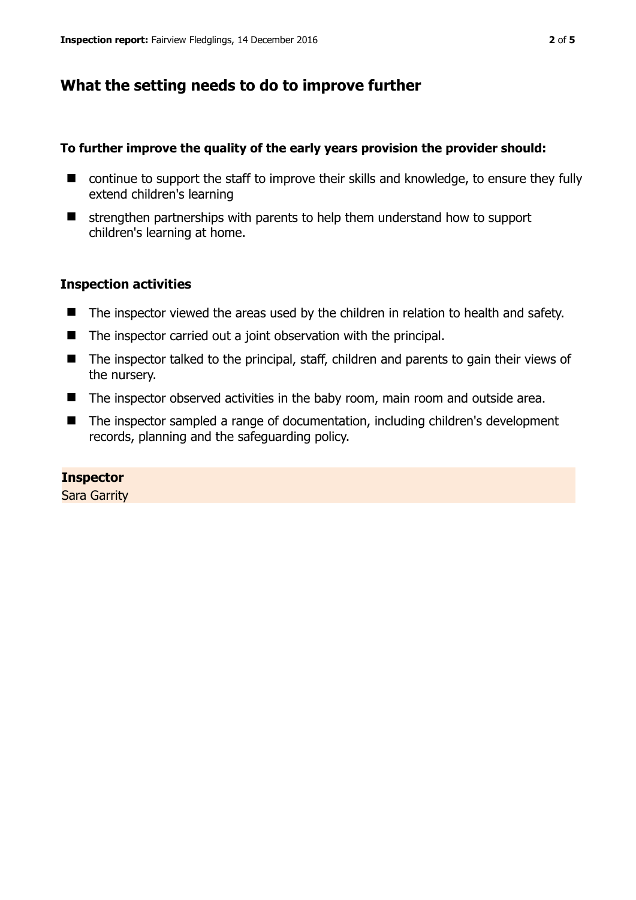# **What the setting needs to do to improve further**

## **To further improve the quality of the early years provision the provider should:**

- continue to support the staff to improve their skills and knowledge, to ensure they fully extend children's learning
- $\blacksquare$  strengthen partnerships with parents to help them understand how to support children's learning at home.

## **Inspection activities**

- The inspector viewed the areas used by the children in relation to health and safety.
- $\blacksquare$  The inspector carried out a joint observation with the principal.
- The inspector talked to the principal, staff, children and parents to gain their views of the nursery.
- The inspector observed activities in the baby room, main room and outside area.
- The inspector sampled a range of documentation, including children's development records, planning and the safeguarding policy.

## **Inspector**

Sara Garrity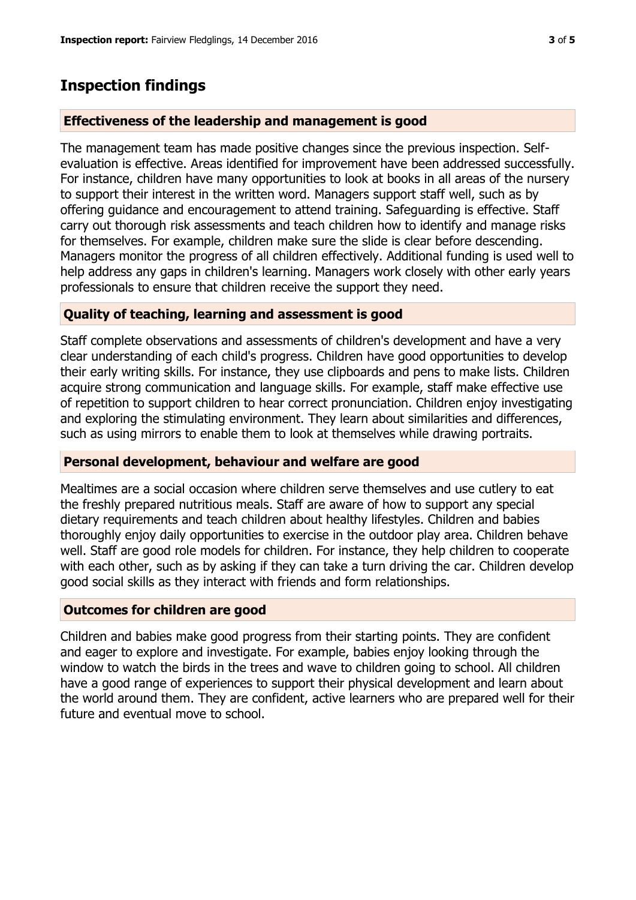## **Inspection findings**

#### **Effectiveness of the leadership and management is good**

The management team has made positive changes since the previous inspection. Selfevaluation is effective. Areas identified for improvement have been addressed successfully. For instance, children have many opportunities to look at books in all areas of the nursery to support their interest in the written word. Managers support staff well, such as by offering guidance and encouragement to attend training. Safeguarding is effective. Staff carry out thorough risk assessments and teach children how to identify and manage risks for themselves. For example, children make sure the slide is clear before descending. Managers monitor the progress of all children effectively. Additional funding is used well to help address any gaps in children's learning. Managers work closely with other early years professionals to ensure that children receive the support they need.

#### **Quality of teaching, learning and assessment is good**

Staff complete observations and assessments of children's development and have a very clear understanding of each child's progress. Children have good opportunities to develop their early writing skills. For instance, they use clipboards and pens to make lists. Children acquire strong communication and language skills. For example, staff make effective use of repetition to support children to hear correct pronunciation. Children enjoy investigating and exploring the stimulating environment. They learn about similarities and differences, such as using mirrors to enable them to look at themselves while drawing portraits.

#### **Personal development, behaviour and welfare are good**

Mealtimes are a social occasion where children serve themselves and use cutlery to eat the freshly prepared nutritious meals. Staff are aware of how to support any special dietary requirements and teach children about healthy lifestyles. Children and babies thoroughly enjoy daily opportunities to exercise in the outdoor play area. Children behave well. Staff are good role models for children. For instance, they help children to cooperate with each other, such as by asking if they can take a turn driving the car. Children develop good social skills as they interact with friends and form relationships.

#### **Outcomes for children are good**

Children and babies make good progress from their starting points. They are confident and eager to explore and investigate. For example, babies enjoy looking through the window to watch the birds in the trees and wave to children going to school. All children have a good range of experiences to support their physical development and learn about the world around them. They are confident, active learners who are prepared well for their future and eventual move to school.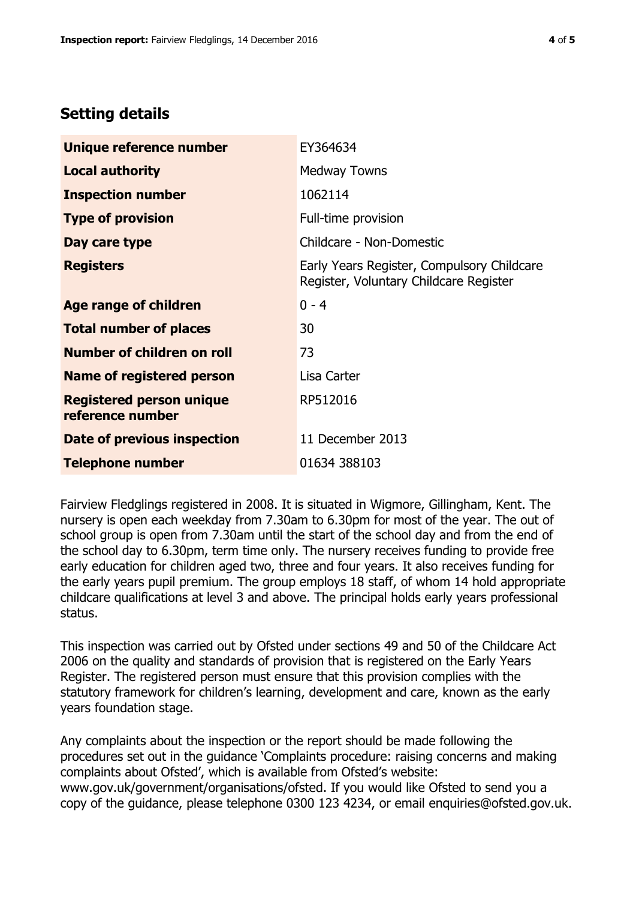# **Setting details**

| Unique reference number                             | EY364634                                                                             |  |
|-----------------------------------------------------|--------------------------------------------------------------------------------------|--|
| <b>Local authority</b>                              | <b>Medway Towns</b>                                                                  |  |
| <b>Inspection number</b>                            | 1062114                                                                              |  |
| <b>Type of provision</b>                            | Full-time provision                                                                  |  |
| Day care type                                       | Childcare - Non-Domestic                                                             |  |
| <b>Registers</b>                                    | Early Years Register, Compulsory Childcare<br>Register, Voluntary Childcare Register |  |
| Age range of children                               | $0 - 4$                                                                              |  |
| <b>Total number of places</b>                       | 30                                                                                   |  |
| Number of children on roll                          | 73                                                                                   |  |
| Name of registered person                           | Lisa Carter                                                                          |  |
| <b>Registered person unique</b><br>reference number | RP512016                                                                             |  |
| Date of previous inspection                         | 11 December 2013                                                                     |  |
| <b>Telephone number</b>                             | 01634 388103                                                                         |  |

Fairview Fledglings registered in 2008. It is situated in Wigmore, Gillingham, Kent. The nursery is open each weekday from 7.30am to 6.30pm for most of the year. The out of school group is open from 7.30am until the start of the school day and from the end of the school day to 6.30pm, term time only. The nursery receives funding to provide free early education for children aged two, three and four years. It also receives funding for the early years pupil premium. The group employs 18 staff, of whom 14 hold appropriate childcare qualifications at level 3 and above. The principal holds early years professional status.

This inspection was carried out by Ofsted under sections 49 and 50 of the Childcare Act 2006 on the quality and standards of provision that is registered on the Early Years Register. The registered person must ensure that this provision complies with the statutory framework for children's learning, development and care, known as the early years foundation stage.

Any complaints about the inspection or the report should be made following the procedures set out in the guidance 'Complaints procedure: raising concerns and making complaints about Ofsted', which is available from Ofsted's website: www.gov.uk/government/organisations/ofsted. If you would like Ofsted to send you a copy of the guidance, please telephone 0300 123 4234, or email enquiries@ofsted.gov.uk.